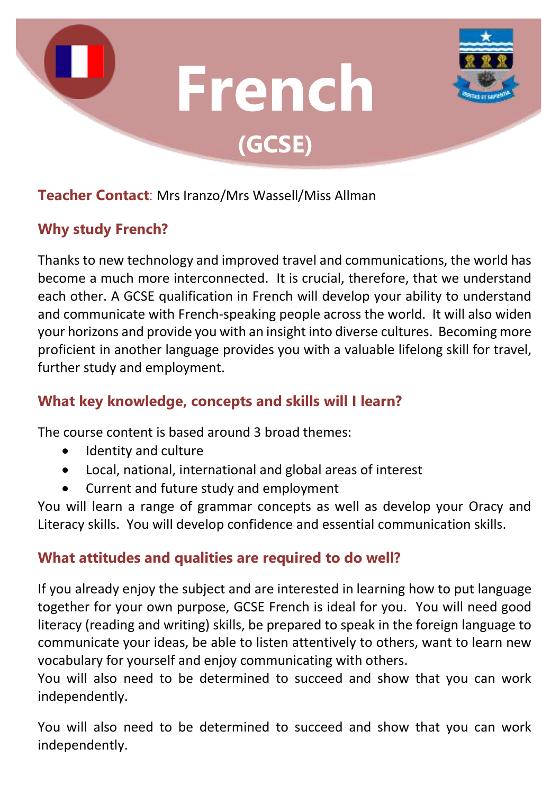

#### **Teacher Contact**: Mrs Iranzo/Mrs Wassell/Miss Allman

# **Why study French?**

Thanks to new technology and improved travel and communications, the world has become a much more interconnected. It is crucial, therefore, that we understand each other. A GCSE qualification in French will develop your ability to understand and communicate with French-speaking people across the world. It will also widen your horizons and provide you with an insight into diverse cultures. Becoming more proficient in another language provides you with a valuable lifelong skill for travel, further study and employment.

# **What key knowledge, concepts and skills will I learn?**

The course content is based around 3 broad themes:

- Identity and culture
- Local, national, international and global areas of interest
- Current and future study and employment

You will learn a range of grammar concepts as well as develop your Oracy and Literacy skills. You will develop confidence and essential communication skills.

# **What attitudes and qualities are required to do well?**

If you already enjoy the subject and are interested in learning how to put language together for your own purpose, GCSE French is ideal for you. You will need good literacy (reading and writing) skills, be prepared to speak in the foreign language to communicate your ideas, be able to listen attentively to others, want to learn new vocabulary for yourself and enjoy communicating with others.

You will also need to be determined to succeed and show that you can work independently.

You will also need to be determined to succeed and show that you can work independently.